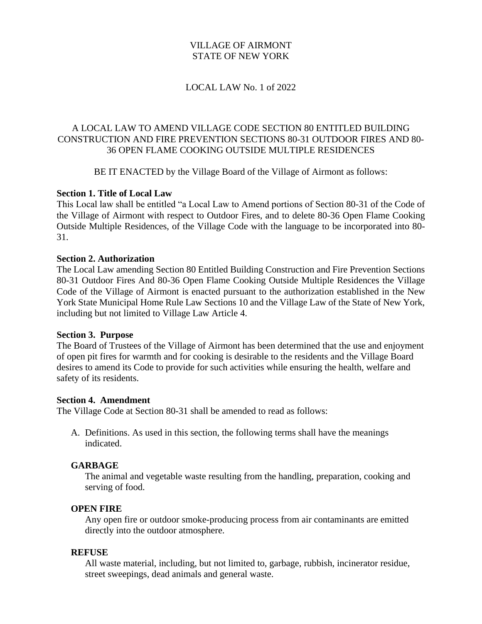## VILLAGE OF AIRMONT STATE OF NEW YORK

#### LOCAL LAW No. 1 of 2022

# A LOCAL LAW TO AMEND VILLAGE CODE SECTION 80 ENTITLED BUILDING CONSTRUCTION AND FIRE PREVENTION SECTIONS 80-31 OUTDOOR FIRES AND 80- 36 OPEN FLAME COOKING OUTSIDE MULTIPLE RESIDENCES

BE IT ENACTED by the Village Board of the Village of Airmont as follows:

### **Section 1. Title of Local Law**

This Local law shall be entitled "a Local Law to Amend portions of Section 80-31 of the Code of the Village of Airmont with respect to Outdoor Fires, and to delete 80-36 Open Flame Cooking Outside Multiple Residences, of the Village Code with the language to be incorporated into 80- 31.

#### **Section 2. Authorization**

The Local Law amending Section 80 Entitled Building Construction and Fire Prevention Sections 80-31 Outdoor Fires And 80-36 Open Flame Cooking Outside Multiple Residences the Village Code of the Village of Airmont is enacted pursuant to the authorization established in the New York State Municipal Home Rule Law Sections 10 and the Village Law of the State of New York, including but not limited to Village Law Article 4.

#### **Section 3. Purpose**

The Board of Trustees of the Village of Airmont has been determined that the use and enjoyment of open pit fires for warmth and for cooking is desirable to the residents and the Village Board desires to amend its Code to provide for such activities while ensuring the health, welfare and safety of its residents.

#### **Section 4. Amendment**

The Village Code at Section 80-31 shall be amended to read as follows:

A. Definitions. As used in this section, the following terms shall have the meanings indicated.

#### **GARBAGE**

The animal and vegetable waste resulting from the handling, preparation, cooking and serving of food.

#### **OPEN FIRE**

Any open fire or outdoor smoke-producing process from air contaminants are emitted directly into the outdoor atmosphere.

#### **REFUSE**

All waste material, including, but not limited to, garbage, rubbish, incinerator residue, street sweepings, dead animals and general waste.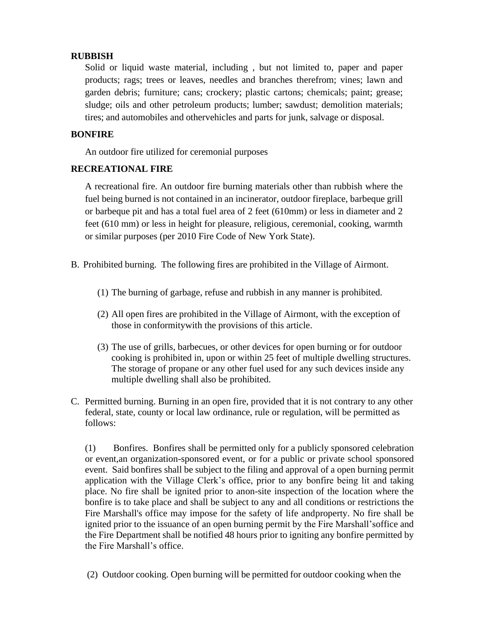# **RUBBISH**

Solid or liquid waste material, including , but not limited to, paper and paper products; rags; trees or leaves, needles and branches therefrom; vines; lawn and garden debris; furniture; cans; crockery; plastic cartons; chemicals; paint; grease; sludge; oils and other petroleum products; lumber; sawdust; demolition materials; tires; and automobiles and othervehicles and parts for junk, salvage or disposal.

# **BONFIRE**

An outdoor fire utilized for ceremonial purposes

### **RECREATIONAL FIRE**

A recreational fire. An outdoor fire burning materials other than rubbish where the fuel being burned is not contained in an incinerator, outdoor fireplace, barbeque grill or barbeque pit and has a total fuel area of 2 feet (610mm) or less in diameter and 2 feet (610 mm) or less in height for pleasure, religious, ceremonial, cooking, warmth or similar purposes (per 2010 Fire Code of New York State).

- B. Prohibited burning. The following fires are prohibited in the Village of Airmont.
	- (1) The burning of garbage, refuse and rubbish in any manner is prohibited.
	- (2) All open fires are prohibited in the Village of Airmont, with the exception of those in conformitywith the provisions of this article.
	- (3) The use of grills, barbecues, or other devices for open burning or for outdoor cooking is prohibited in, upon or within 25 feet of multiple dwelling structures. The storage of propane or any other fuel used for any such devices inside any multiple dwelling shall also be prohibited.
- C. Permitted burning. Burning in an open fire, provided that it is not contrary to any other federal, state, county or local law ordinance, rule or regulation, will be permitted as follows:

(1) Bonfires. Bonfires shall be permitted only for a publicly sponsored celebration or event,an organization-sponsored event, or for a public or private school sponsored event. Said bonfires shall be subject to the filing and approval of a open burning permit application with the Village Clerk's office, prior to any bonfire being lit and taking place. No fire shall be ignited prior to anon-site inspection of the location where the bonfire is to take place and shall be subject to any and all conditions or restrictions the Fire Marshall's office may impose for the safety of life andproperty. No fire shall be ignited prior to the issuance of an open burning permit by the Fire Marshall'soffice and the Fire Department shall be notified 48 hours prior to igniting any bonfire permitted by the Fire Marshall's office.

(2) Outdoor cooking. Open burning will be permitted for outdoor cooking when the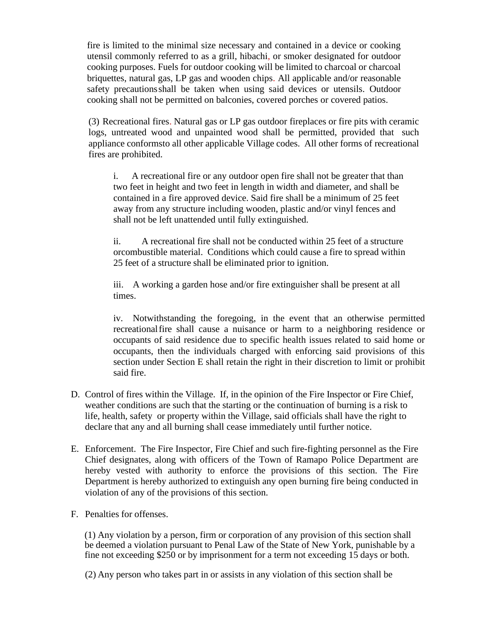fire is limited to the minimal size necessary and contained in a device or cooking utensil commonly referred to as a grill, hibachi, or smoker designated for outdoor cooking purposes. Fuels for outdoor cooking will be limited to charcoal or charcoal briquettes, natural gas, LP gas and wooden chips. All applicable and/or reasonable safety precautionsshall be taken when using said devices or utensils. Outdoor cooking shall not be permitted on balconies, covered porches or covered patios.

(3) Recreational fires. Natural gas or LP gas outdoor fireplaces or fire pits with ceramic logs, untreated wood and unpainted wood shall be permitted, provided that such appliance conformsto all other applicable Village codes. All other forms of recreational fires are prohibited.

i. A recreational fire or any outdoor open fire shall not be greater that than two feet in height and two feet in length in width and diameter, and shall be contained in a fire approved device. Said fire shall be a minimum of 25 feet away from any structure including wooden, plastic and/or vinyl fences and shall not be left unattended until fully extinguished.

ii. A recreational fire shall not be conducted within 25 feet of a structure orcombustible material. Conditions which could cause a fire to spread within 25 feet of a structure shall be eliminated prior to ignition.

iii. A working a garden hose and/or fire extinguisher shall be present at all times.

iv. Notwithstanding the foregoing, in the event that an otherwise permitted recreationalfire shall cause a nuisance or harm to a neighboring residence or occupants of said residence due to specific health issues related to said home or occupants, then the individuals charged with enforcing said provisions of this section under Section E shall retain the right in their discretion to limit or prohibit said fire.

- D. Control of fires within the Village. If, in the opinion of the Fire Inspector or Fire Chief, weather conditions are such that the starting or the continuation of burning is a risk to life, health, safety or property within the Village, said officials shall have the right to declare that any and all burning shall cease immediately until further notice.
- E. Enforcement. The Fire Inspector, Fire Chief and such fire-fighting personnel as the Fire Chief designates, along with officers of the Town of Ramapo Police Department are hereby vested with authority to enforce the provisions of this section. The Fire Department is hereby authorized to extinguish any open burning fire being conducted in violation of any of the provisions of this section.
- F. Penalties for offenses.

(1) Any violation by a person, firm or corporation of any provision of this section shall be deemed a violation pursuant to Penal Law of the State of New York, punishable by a fine not exceeding \$250 or by imprisonment for a term not exceeding 15 days or both.

(2) Any person who takes part in or assists in any violation of this section shall be